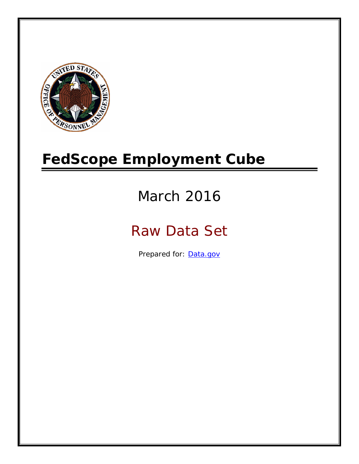

# **FedScope Employment Cube**

# March 2016

# Raw Data Set

Prepared for: [Data.gov](http://www.data.gov/)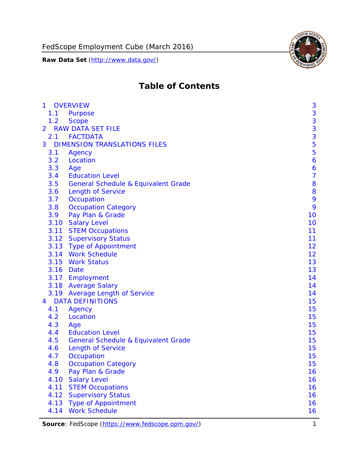

# **Table of Contents**

| $\mathbf{1}$   | <b>OVERVIEW</b>                                | 3              |
|----------------|------------------------------------------------|----------------|
| 1.1            | Purpose                                        | 3              |
| 1.2            | <b>Scope</b>                                   | 3              |
| $\overline{2}$ | <b>RAW DATA SET FILE</b>                       | 3              |
| 2.1            | <b>FACTDATA</b>                                | 3              |
| 3              | <b>DIMENSION TRANSLATIONS FILES</b>            | 5              |
| 3.1            | Agency                                         | 5              |
| 3.2            | Location                                       | 6              |
| 3.3            | Age                                            | 6              |
| 3.4            | <b>Education Level</b>                         | $\overline{7}$ |
| 3.5            | General Schedule & Equivalent Grade            | 8              |
| 3.6            | <b>Length of Service</b>                       | 8              |
| 3.7            | Occupation                                     | 9              |
| 3.8            | <b>Occupation Category</b>                     | 9              |
| 3.9            | Pay Plan & Grade                               | 10             |
| 3.10           | <b>Salary Level</b>                            | 10             |
|                | 3.11 STEM Occupations                          | 11             |
|                | 3.12 Supervisory Status                        | 11             |
|                | 3.13 Type of Appointment                       | 12             |
|                | 3.14 Work Schedule                             | 12             |
| 3.15           | <b>Work Status</b>                             | 13             |
|                | 3.16 Date                                      | 13             |
|                | 3.17 Employment                                | 14             |
|                | 3.18 Average Salary                            | 14             |
|                | 3.19 Average Length of Service                 | 14             |
| 4              | <b>DATA DEFINITIONS</b>                        | 15             |
| 4.1            | Agency                                         | 15             |
| 4.2            | Location                                       | 15             |
| 4.3            | Age                                            | 15             |
| 4.4            | <b>Education Level</b>                         | 15             |
| 4.5            | <b>General Schedule &amp; Equivalent Grade</b> | 15             |
| 4.6            | <b>Length of Service</b>                       | 15             |
| 4.7            | Occupation                                     | 15             |
| 4.8            | <b>Occupation Category</b>                     | 15             |
| 4.9            | Pay Plan & Grade                               | 16             |
| 4.10           | <b>Salary Level</b>                            | 16             |
| 4.11           | <b>STEM Occupations</b>                        | 16             |
| 4.12           | <b>Supervisory Status</b>                      | 16             |
| 4.13           | <b>Type of Appointment</b>                     | 16             |
| 4.14           | <b>Work Schedule</b>                           | 16             |

**Source**: FedScope (https://www.fedscope.opm.gov/) 1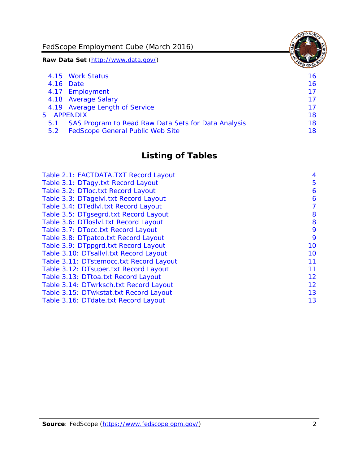FedScope Employment Cube (March 2016)

**Raw Data Set** (http://www.data.gov/)

|     | 4.15 Work Status                                    | 16 |
|-----|-----------------------------------------------------|----|
|     | 4.16 Date                                           | 16 |
|     | 4.17 Employment                                     | 17 |
|     | 4.18 Average Salary                                 | 17 |
|     | 4.19 Average Length of Service                      | 17 |
|     | 5 APPENDIX                                          | 18 |
| 5.1 | SAS Program to Read Raw Data Sets for Data Analysis | 18 |
| 5.2 | <b>FedScope General Public Web Site</b>             | 18 |

# **Listing of Tables**

| Table 2.1: FACTDATA.TXT Record Layout   | 4  |
|-----------------------------------------|----|
| Table 3.1: DTagy.txt Record Layout      | 5  |
| Table 3.2: DTloc.txt Record Layout      | 6  |
| Table 3.3: DTagelvl.txt Record Layout   | 6  |
| Table 3.4: DTedlvl.txt Record Layout    | 7  |
| Table 3.5: DTgsegrd.txt Record Layout   | 8  |
| Table 3.6: DTIoslyl.txt Record Layout   | 8  |
| Table 3.7: DTocc.txt Record Layout      | 9  |
| Table 3.8: DTpatco.txt Record Layout    | 9  |
| Table 3.9: DTppgrd.txt Record Layout    | 10 |
| Table 3.10: DTsallvl.txt Record Layout  | 10 |
| Table 3.11: DTstemocc.txt Record Layout | 11 |
| Table 3.12: DTsuper.txt Record Layout   | 11 |
| Table 3.13: DTtoa.txt Record Layout     | 12 |
| Table 3.14: DTwrksch.txt Record Layout  | 12 |
| Table 3.15: DTwkstat.txt Record Layout  | 13 |
| Table 3.16: DTdate.txt Record Layout    | 13 |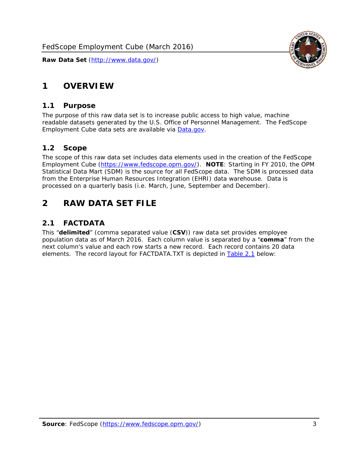

# <span id="page-3-0"></span>**1 OVERVIEW**

#### *1.1 Purpose*

<span id="page-3-1"></span>The purpose of this raw data set is to increase public access to high value, machine readable datasets generated by the U.S. Office of Personnel Management. The FedScope Employment Cube data sets are available via [Data.gov](http://www.data.gov/).

#### <span id="page-3-2"></span>*1.2 Scope*

The scope of this raw data set includes data elements used in the creation of the FedScope Employment Cube [\(https://www.fedscope.opm.gov/\)](https://www.fedscope.opm.gov/). **NOTE**: Starting in FY 2010, the OPM Statistical Data Mart (SDM) is the source for all FedScope data. The SDM is processed data from the Enterprise Human Resources Integration (EHRI) data warehouse. Data is processed on a quarterly basis (i.e. March, June, September and December).

# <span id="page-3-3"></span>**2 RAW DATA SET FILE**

# <span id="page-3-4"></span>*2.1 FACTDATA*

This "**delimited**" (comma separated value (**CSV**)) raw data set provides employee population data as of March 2016. Each column value is separated by a "**comma**" from the next column's value and each row starts a new record. Each record contains 20 data elements. The record layout for FACTDATA.TXT is depicted in [Table 2.1](#page-4-1) below: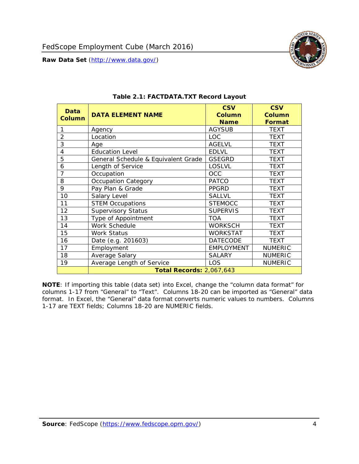

<span id="page-4-1"></span><span id="page-4-0"></span>

| Data<br><b>Column</b> | <b>DATA ELEMENT NAME</b>            | <b>CSV</b><br><b>Column</b><br><b>Name</b> | <b>CSV</b><br><b>Column</b><br><b>Format</b> |
|-----------------------|-------------------------------------|--------------------------------------------|----------------------------------------------|
| 1                     | Agency                              | <b>AGYSUB</b>                              | <b>TEXT</b>                                  |
| $\overline{2}$        | Location                            | <b>LOC</b>                                 | TEXT                                         |
| 3                     | Age                                 | <b>AGELVL</b>                              | <b>TEXT</b>                                  |
| 4                     | <b>Education Level</b>              | <b>EDLVL</b>                               | <b>TEXT</b>                                  |
| 5                     | General Schedule & Equivalent Grade | <b>GSEGRD</b>                              | <b>TEXT</b>                                  |
| 6                     | Length of Service                   | <b>LOSLVL</b>                              | <b>TEXT</b>                                  |
| 7                     | Occupation                          | <b>OCC</b>                                 | <b>TEXT</b>                                  |
| 8                     | Occupation Category                 | <b>PATCO</b>                               | <b>TEXT</b>                                  |
| 9                     | Pay Plan & Grade                    | <b>PPGRD</b>                               | <b>TEXT</b>                                  |
| 10                    | Salary Level                        | <b>SALLVL</b>                              | TEXT                                         |
| 11                    | <b>STEM Occupations</b>             | <b>STEMOCC</b>                             | TEXT                                         |
| 12                    | <b>Supervisory Status</b>           | <b>SUPERVIS</b>                            | <b>TEXT</b>                                  |
| 13                    | Type of Appointment                 | <b>TOA</b>                                 | TEXT                                         |
| 14                    | Work Schedule                       | <b>WORKSCH</b>                             | <b>TEXT</b>                                  |
| 15                    | Work Status                         | <b>WORKSTAT</b>                            | TEXT                                         |
| 16                    | Date (e.g. 201603)                  | <b>DATECODE</b>                            | <b>TEXT</b>                                  |
| 17                    | Employment                          | <b>EMPLOYMENT</b>                          | <b>NUMERIC</b>                               |
| 18                    | Average Salary                      | <b>SALARY</b>                              | <b>NUMERIC</b>                               |
| 19                    | Average Length of Service           | LOS                                        | <b>NUMERIC</b>                               |
|                       | <b>Total Records: 2,067,643</b>     |                                            |                                              |

#### **Table 2.1: FACTDATA.TXT Record Layout**

**NOTE**: If importing this table (data set) into Excel, change the "column data format" for columns 1-17 from "General" to "Text". Columns 18-20 can be imported as "General" data format. In Excel, the "General" data format converts numeric values to numbers. Columns 1-17 are TEXT fields; Columns 18-20 are NUMERIC fields.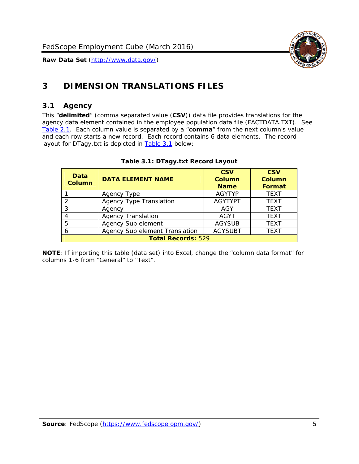

# <span id="page-5-0"></span>**3 DIMENSION TRANSLATIONS FILES**

#### <span id="page-5-1"></span>*3.1 Agency*

<span id="page-5-3"></span><span id="page-5-2"></span>This "**delimited**" (comma separated value (**CSV**)) data file provides translations for the agency data element contained in the employee population data file (FACTDATA.TXT). See [Table 2.1.](#page-4-1) Each column value is separated by a "**comma**" from the next column's value and each row starts a new record. Each record contains 6 data elements. The record layout for DTagy.txt is depicted in **Table 3.1** below:

| Data<br>Column            | <b>DATA ELEMENT NAME</b>       | <b>CSV</b><br><b>Column</b><br><b>Name</b> | <b>CSV</b><br>Column<br><b>Format</b> |
|---------------------------|--------------------------------|--------------------------------------------|---------------------------------------|
|                           | Agency Type                    | <b>AGYTYP</b>                              | <b>TEXT</b>                           |
| 2                         | <b>Agency Type Translation</b> | <b>AGYTYPT</b>                             | <b>TEXT</b>                           |
| 3                         | Agency                         | AGY                                        | <b>TEXT</b>                           |
| 4                         | <b>Agency Translation</b>      | <b>AGYT</b>                                | <b>TEXT</b>                           |
| 5                         | Agency Sub element             | <b>AGYSUB</b>                              | <b>TEXT</b>                           |
| 6                         | Agency Sub element Translation | <b>AGYSUBT</b>                             | <b>TEXT</b>                           |
| <b>Total Records: 529</b> |                                |                                            |                                       |

#### **Table 3.1: DTagy.txt Record Layout**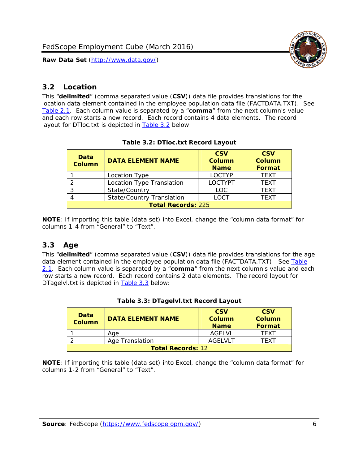

## <span id="page-6-0"></span>*3.2 Location*

<span id="page-6-4"></span><span id="page-6-2"></span>This "**delimited**" (comma separated value (**CSV**)) data file provides translations for the location data element contained in the employee population data file (FACTDATA.TXT). See [Table 2.1.](#page-4-1) Each column value is separated by a "**comma**" from the next column's value and each row starts a new record. Each record contains 4 data elements. The record layout for DTloc.txt is depicted in [Table 3.2](#page-6-4) below:

| Data<br><b>Column</b>     | <b>DATA ELEMENT NAME</b>         | <b>CSV</b><br>Column<br><b>Name</b> | <b>CSV</b><br><b>Column</b><br><b>Format</b> |
|---------------------------|----------------------------------|-------------------------------------|----------------------------------------------|
|                           | Location Type                    | <b>LOCTYP</b>                       | <b>TEXT</b>                                  |
|                           | Location Type Translation        | <b>LOCTYPT</b>                      | <b>TFXT</b>                                  |
| ⌒                         | State/Country                    | LOC.                                | <b>TEXT</b>                                  |
|                           | <b>State/Country Translation</b> | LOCT                                | <b>TFXT</b>                                  |
| <b>Total Records: 225</b> |                                  |                                     |                                              |

#### **Table 3.2: DTloc.txt Record Layout**

**NOTE**: If importing this table (data set) into Excel, change the "column data format" for columns 1-4 from "General" to "Text".

#### <span id="page-6-1"></span>*3.3 Age*

<span id="page-6-5"></span><span id="page-6-3"></span>This "**delimited**" (comma separated value (**CSV**)) data file provides translations for the age data element contained in the employee population data file (FACTDATA.TXT). See [Table](#page-4-1) [2.1](#page-4-1). Each column value is separated by a "**comma**" from the next column's value and each row starts a new record. Each record contains 2 data elements. The record layout for DTagelvl.txt is depicted in **[Table 3.3](#page-6-5)** below:

| Data<br><b>Column</b>    | <b>DATA ELEMENT NAME</b> | <b>CSV</b><br>Column<br><b>Name</b> | <b>CSV</b><br>Column<br><b>Format</b> |
|--------------------------|--------------------------|-------------------------------------|---------------------------------------|
|                          | Aae                      | AGFI VI                             | TFXT                                  |
|                          | Age Translation          | AGFI VI T                           | TFXT                                  |
| <b>Total Records: 12</b> |                          |                                     |                                       |

#### **Table 3.3: DTagelvl.txt Record Layout**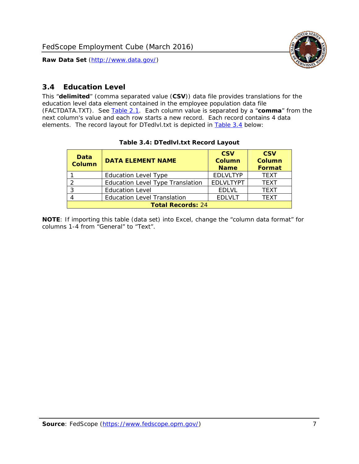

## <span id="page-7-0"></span>*3.4 Education Level*

<span id="page-7-2"></span><span id="page-7-1"></span>This "**delimited**" (comma separated value (**CSV**)) data file provides translations for the education level data element contained in the employee population data file (FACTDATA.TXT). See [Table 2.1](#page-4-1). Each column value is separated by a "**comma**" from the next column's value and each row starts a new record. Each record contains 4 data elements. The record layout for DTedlvl.txt is depicted in [Table 3.4](#page-7-2) below:

| Data<br><b>Column</b>    | <b>DATA ELEMENT NAME</b>           | <b>CSV</b><br><b>Column</b><br><b>Name</b> | <b>CSV</b><br><b>Column</b><br><b>Format</b> |
|--------------------------|------------------------------------|--------------------------------------------|----------------------------------------------|
|                          | <b>Education Level Type</b>        | <b>EDLVLTYP</b>                            | <b>TEXT</b>                                  |
|                          | Education Level Type Translation   | <b>EDLVLTYPT</b>                           | <b>TEXT</b>                                  |
|                          | <b>Education Level</b>             | <b>EDLVL</b>                               | <b>TEXT</b>                                  |
|                          | <b>Education Level Translation</b> | <b>EDLVLT</b>                              | <b>TEXT</b>                                  |
| <b>Total Records: 24</b> |                                    |                                            |                                              |

#### **Table 3.4: DTedlvl.txt Record Layout**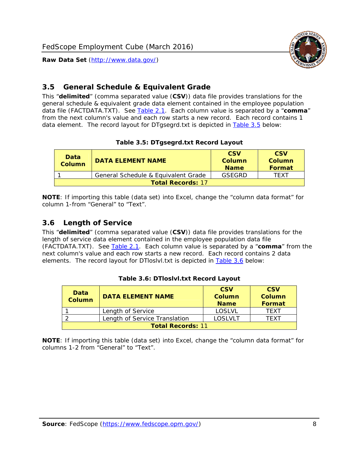

## <span id="page-8-0"></span>*3.5 General Schedule & Equivalent Grade*

This "**delimited**" (comma separated value (**CSV**)) data file provides translations for the general schedule & equivalent grade data element contained in the employee population data file (FACTDATA.TXT). See [Table 2.1](#page-4-1). Each column value is separated by a "**comma**" from the next column's value and each row starts a new record. Each record contains 1 data element. The record layout for DTgsegrd.txt is depicted in [Table 3.5](#page-8-4) below:

#### **Table 3.5: DTgsegrd.txt Record Layout**

<span id="page-8-4"></span><span id="page-8-2"></span>

| Data<br>Column           | DATA FI FMFNT NAMF                  | <b>CSV</b><br>Column<br><b>Name</b> | <b>CSV</b><br>Column<br>Format |
|--------------------------|-------------------------------------|-------------------------------------|--------------------------------|
|                          | General Schedule & Equivalent Grade | GSEGRD                              | TFXT                           |
| <b>Total Records: 17</b> |                                     |                                     |                                |

**NOTE**: If importing this table (data set) into Excel, change the "column data format" for column 1-from "General" to "Text".

#### <span id="page-8-1"></span>*3.6 Length of Service*

<span id="page-8-5"></span>This "**delimited**" (comma separated value (**CSV**)) data file provides translations for the length of service data element contained in the employee population data file (FACTDATA.TXT). See [Table 2.1](#page-4-1). Each column value is separated by a "**comma**" from the next column's value and each row starts a new record. Each record contains 2 data elements. The record layout for DTloslvl.txt is depicted in [Table 3.6](#page-8-5) below:

<span id="page-8-3"></span>

| Data<br><b>Column</b>    | <b>DATA ELEMENT NAME</b>      | <b>CSV</b><br><b>Column</b><br><b>Name</b> | <b>CSV</b><br>Column<br>Format |
|--------------------------|-------------------------------|--------------------------------------------|--------------------------------|
|                          | Length of Service             | LOSLVL                                     | TFXT                           |
|                          | Length of Service Translation | LOSI VLT                                   | TFXT                           |
| <b>Total Records: 11</b> |                               |                                            |                                |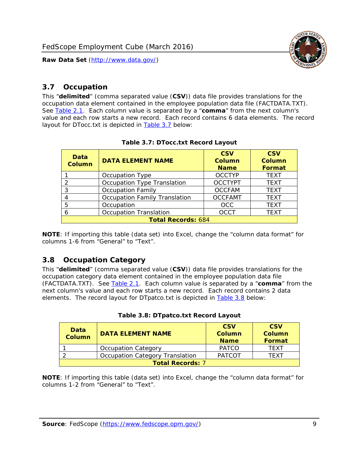

#### <span id="page-9-0"></span>*3.7 Occupation*

<span id="page-9-4"></span>This "**delimited**" (comma separated value (**CSV**)) data file provides translations for the occupation data element contained in the employee population data file (FACTDATA.TXT). See [Table 2.1](#page-4-1). Each column value is separated by a "**comma**" from the next column's value and each row starts a new record. Each record contains 6 data elements. The record layout for DTocc.txt is depicted in [Table 3.7](#page-9-4) below:

<span id="page-9-2"></span>

| Data<br><b>Column</b>     | <b>DATA ELEMENT NAME</b>             | <b>CSV</b><br>Column<br><b>Name</b> | <b>CSV</b><br><b>Column</b><br><b>Format</b> |
|---------------------------|--------------------------------------|-------------------------------------|----------------------------------------------|
|                           | Occupation Type                      | <b>OCCTYP</b>                       | <b>TEXT</b>                                  |
|                           | Occupation Type Translation          | <b>OCCTYPT</b>                      | <b>TEXT</b>                                  |
| ર                         | <b>Occupation Family</b>             | <b>OCCFAM</b>                       | <b>TEXT</b>                                  |
|                           | <b>Occupation Family Translation</b> | <b>OCCFAMT</b>                      | <b>TEXT</b>                                  |
| 5                         | Occupation                           | <b>OCC</b>                          | <b>TEXT</b>                                  |
|                           | <b>Occupation Translation</b>        | <b>OCCT</b>                         | <b>TEXT</b>                                  |
| <b>Total Records: 684</b> |                                      |                                     |                                              |

#### **Table 3.7: DTocc.txt Record Layout**

**NOTE**: If importing this table (data set) into Excel, change the "column data format" for columns 1-6 from "General" to "Text".

#### <span id="page-9-1"></span>*3.8 Occupation Category*

<span id="page-9-5"></span>This "**delimited**" (comma separated value (**CSV**)) data file provides translations for the occupation category data element contained in the employee population data file (FACTDATA.TXT). See [Table 2.1](#page-4-1). Each column value is separated by a "**comma**" from the next column's value and each row starts a new record. Each record contains 2 data elements. The record layout for DTpatco.txt is depicted in [Table 3.8](#page-9-5) below:

<span id="page-9-3"></span>

| Data<br><b>Column</b>   | <b>DATA ELEMENT NAME</b>        | <b>CSV</b><br>Column<br><b>Name</b> | <b>CSV</b><br>Column<br>Format |
|-------------------------|---------------------------------|-------------------------------------|--------------------------------|
|                         | <b>Occupation Category</b>      | <b>PATCO</b>                        | <b>TFXT</b>                    |
|                         | Occupation Category Translation | <b>PATCOT</b>                       | TFXT                           |
| <b>Total Records: 7</b> |                                 |                                     |                                |

|  |  | Table 3.8: DTpatco.txt Record Layout |
|--|--|--------------------------------------|
|--|--|--------------------------------------|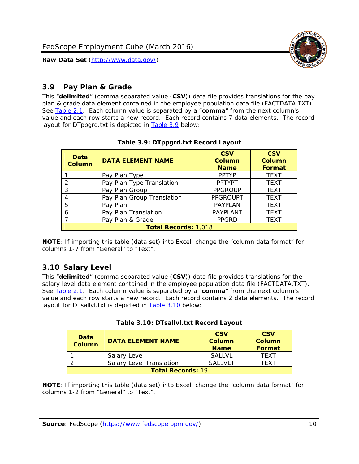

## <span id="page-10-0"></span>*3.9 Pay Plan & Grade*

<span id="page-10-4"></span>This "**delimited**" (comma separated value (**CSV**)) data file provides translations for the pay plan & grade data element contained in the employee population data file (FACTDATA.TXT). See [Table 2.1](#page-4-1). Each column value is separated by a "**comma**" from the next column's value and each row starts a new record. Each record contains 7 data elements. The record layout for DTppgrd.txt is depicted in **Table 3.9** below:

<span id="page-10-2"></span>

| Data<br><b>Column</b>       | <b>DATA ELEMENT NAME</b>   | <b>CSV</b><br>Column<br><b>Name</b> | <b>CSV</b><br>Column<br><b>Format</b> |
|-----------------------------|----------------------------|-------------------------------------|---------------------------------------|
|                             | Pay Plan Type              | <b>PPTYP</b>                        | <b>TEXT</b>                           |
| $\mathcal{P}$               | Pay Plan Type Translation  | <b>PPTYPT</b>                       | <b>TEXT</b>                           |
| 3                           | Pay Plan Group             | <b>PPGROUP</b>                      | <b>TEXT</b>                           |
|                             | Pay Plan Group Translation | <b>PPGROUPT</b>                     | <b>TEXT</b>                           |
| 5                           | Pay Plan                   | <b>PAYPLAN</b>                      | <b>TEXT</b>                           |
| 6                           | Pay Plan Translation       | PAYPLANT                            | <b>TEXT</b>                           |
|                             | Pay Plan & Grade           | <b>PPGRD</b>                        | <b>TEXT</b>                           |
| <b>Total Records: 1,018</b> |                            |                                     |                                       |

#### **Table 3.9: DTppgrd.txt Record Layout**

**NOTE**: If importing this table (data set) into Excel, change the "column data format" for columns 1-7 from "General" to "Text".

# <span id="page-10-1"></span>*3.10 Salary Level*

<span id="page-10-5"></span><span id="page-10-3"></span>This "**delimited**" (comma separated value (**CSV**)) data file provides translations for the salary level data element contained in the employee population data file (FACTDATA.TXT). See [Table 2.1](#page-4-1). Each column value is separated by a "**comma**" from the next column's value and each row starts a new record. Each record contains 2 data elements. The record layout for DTsallvl.txt is depicted in [Table 3.10](#page-10-5) below:

| <b>Data</b><br>Column    | <b>DATA ELEMENT NAME</b>        | <b>CSV</b><br>Column<br><b>Name</b> | <b>CSV</b><br>Column<br><b>Format</b> |
|--------------------------|---------------------------------|-------------------------------------|---------------------------------------|
|                          | Salary Level                    | <b>SALLVL</b>                       | TFXT                                  |
|                          | <b>Salary Level Translation</b> | SAI I VI T                          | TEXT                                  |
| <b>Total Records: 19</b> |                                 |                                     |                                       |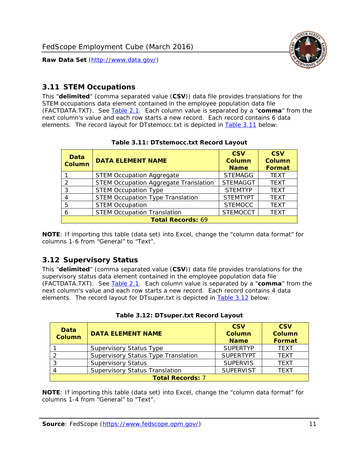

#### <span id="page-11-0"></span>*3.11 STEM Occupations*

<span id="page-11-4"></span>This "**delimited**" (comma separated value (**CSV**)) data file provides translations for the STEM occupations data element contained in the employee population data file (FACTDATA.TXT). See [Table 2.1](#page-4-1). Each column value is separated by a "**comma**" from the next column's value and each row starts a new record. Each record contains 6 data elements. The record layout for DTstemocc.txt is depicted in [Table 3.11](#page-11-4) below:

<span id="page-11-2"></span>

| <b>Data</b><br><b>Column</b> | <b>DATA ELEMENT NAME</b>                     | <b>CSV</b><br><b>Column</b><br><b>Name</b> | <b>CSV</b><br><b>Column</b><br>Format |
|------------------------------|----------------------------------------------|--------------------------------------------|---------------------------------------|
|                              | <b>STEM Occupation Aggregate</b>             | <b>STEMAGG</b>                             | <b>TEXT</b>                           |
|                              | <b>STEM Occupation Aggregate Translation</b> | <b>STEMAGGT</b>                            | <b>TEXT</b>                           |
| 3                            | <b>STEM Occupation Type</b>                  | <b>STEMTYP</b>                             | <b>TFXT</b>                           |
|                              | <b>STEM Occupation Type Translation</b>      | <b>STEMTYPT</b>                            | <b>TEXT</b>                           |
| 5                            | <b>STEM Occupation</b>                       | <b>STEMOCC</b>                             | <b>TEXT</b>                           |
|                              | <b>STEM Occupation Translation</b>           | <b>STEMOCCT</b>                            | <b>TEXT</b>                           |
| <b>Total Records: 69</b>     |                                              |                                            |                                       |

#### **Table 3.11: DTstemocc.txt Record Layout**

**NOTE**: If importing this table (data set) into Excel, change the "column data format" for columns 1-6 from "General" to "Text".

# <span id="page-11-1"></span>*3.12 Supervisory Status*

This "**delimited**" (comma separated value (**CSV**)) data file provides translations for the supervisory status data element contained in the employee population data file (FACTDATA.TXT). See [Table 2.1](#page-4-1). Each column value is separated by a "**comma**" from the next column's value and each row starts a new record. Each record contains 4 data elements. The record layout for DTsuper.txt is depicted in [Table 3.12](#page-11-5) below:

<span id="page-11-5"></span><span id="page-11-3"></span>

| Data<br><b>Column</b>   | <b>DATA ELEMENT NAME</b>              | <b>CSV</b><br>Column<br><b>Name</b> | <b>CSV</b><br><b>Column</b><br>Format |
|-------------------------|---------------------------------------|-------------------------------------|---------------------------------------|
|                         | <b>Supervisory Status Type</b>        | <b>SUPERTYP</b>                     | <b>TEXT</b>                           |
|                         | Supervisory Status Type Translation   | <b>SUPERTYPT</b>                    | <b>TEXT</b>                           |
|                         | <b>Supervisory Status</b>             | <b>SUPERVIS</b>                     | <b>TEXT</b>                           |
|                         | <b>Supervisory Status Translation</b> | <b>SUPERVIST</b>                    | <b>TEXT</b>                           |
| <b>Total Records: 7</b> |                                       |                                     |                                       |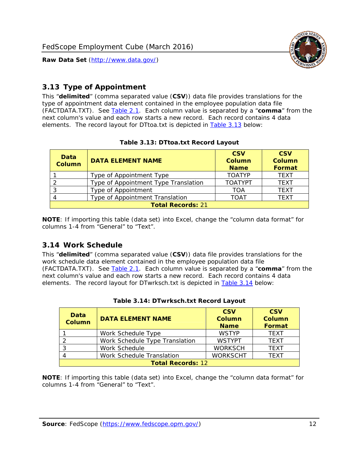

# <span id="page-12-0"></span>*3.13 Type of Appointment*

This "**delimited**" (comma separated value (**CSV**)) data file provides translations for the type of appointment data element contained in the employee population data file (FACTDATA.TXT). See [Table 2.1](#page-4-1). Each column value is separated by a "**comma**" from the next column's value and each row starts a new record. Each record contains 4 data elements. The record layout for DTtoa.txt is depicted in [Table 3.13](#page-12-4) below:

<span id="page-12-4"></span><span id="page-12-2"></span>

| Data<br><b>Column</b>    | <b>DATA ELEMENT NAME</b>             | <b>CSV</b><br><b>Column</b><br><b>Name</b> | <b>CSV</b><br><b>Column</b><br>Format |
|--------------------------|--------------------------------------|--------------------------------------------|---------------------------------------|
|                          | Type of Appointment Type             | <b>TOATYP</b>                              | <b>TEXT</b>                           |
|                          | Type of Appointment Type Translation | <b>TOATYPT</b>                             | <b>TEXT</b>                           |
|                          | Type of Appointment                  | TOA                                        | <b>TEXT</b>                           |
|                          | Type of Appointment Translation      | TOAT                                       | <b>TFXT</b>                           |
| <b>Total Records: 21</b> |                                      |                                            |                                       |

#### **Table 3.13: DTtoa.txt Record Layout**

**NOTE**: If importing this table (data set) into Excel, change the "column data format" for columns 1-4 from "General" to "Text".

#### <span id="page-12-1"></span>*3.14 Work Schedule*

<span id="page-12-5"></span>This "**delimited**" (comma separated value (**CSV**)) data file provides translations for the work schedule data element contained in the employee population data file (FACTDATA.TXT). See [Table 2.1](#page-4-1). Each column value is separated by a "**comma**" from the next column's value and each row starts a new record. Each record contains 4 data elements. The record layout for DTwrksch.txt is depicted in [Table 3.14](#page-12-5) below:

<span id="page-12-3"></span>

| Data<br>Column           | <b>DATA ELEMENT NAME</b>       | <b>CSV</b><br><b>Column</b><br><b>Name</b> | <b>CSV</b><br>Column<br><b>Format</b> |
|--------------------------|--------------------------------|--------------------------------------------|---------------------------------------|
|                          | Work Schedule Type             | <b>WSTYP</b>                               | <b>TEXT</b>                           |
| 2                        | Work Schedule Type Translation | <b>WSTYPT</b>                              | <b>TFXT</b>                           |
| 3                        | Work Schedule                  | <b>WORKSCH</b>                             | <b>TFXT</b>                           |
|                          | Work Schedule Translation      | <b>WORKSCHT</b>                            | <b>TFXT</b>                           |
| <b>Total Records: 12</b> |                                |                                            |                                       |

| Table 3.14: DTwrksch.txt Record Layout |
|----------------------------------------|
|----------------------------------------|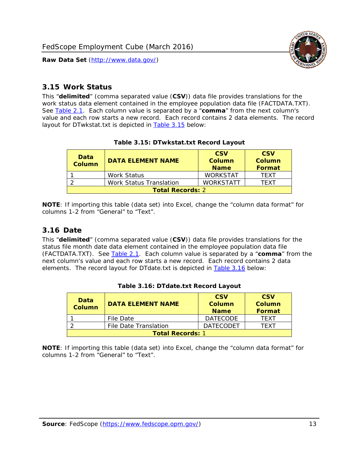

#### <span id="page-13-0"></span>*3.15 Work Status*

<span id="page-13-4"></span><span id="page-13-2"></span>This "**delimited**" (comma separated value (**CSV**)) data file provides translations for the work status data element contained in the employee population data file (FACTDATA.TXT). See [Table 2.1](#page-4-1). Each column value is separated by a "**comma**" from the next column's value and each row starts a new record. Each record contains 2 data elements. The record layout for DTwkstat.txt is depicted in [Table 3.15](#page-13-4) below:

| Data<br><b>Column</b>   | <b>DATA ELEMENT NAME</b>       | <b>CSV</b><br>Column<br><b>Name</b> | <b>CSV</b><br>Column<br>Format |
|-------------------------|--------------------------------|-------------------------------------|--------------------------------|
|                         | Work Status                    | <b>WORKSTAT</b>                     | TFXT                           |
|                         | <b>Work Status Translation</b> | <b>WORKSTATT</b>                    | TFXT                           |
| <b>Total Records: 2</b> |                                |                                     |                                |

#### **Table 3.15: DTwkstat.txt Record Layout**

**NOTE**: If importing this table (data set) into Excel, change the "column data format" for columns 1-2 from "General" to "Text".

#### <span id="page-13-1"></span>*3.16 Date*

<span id="page-13-5"></span><span id="page-13-3"></span>This "**delimited**" (comma separated value (**CSV**)) data file provides translations for the status file month date data element contained in the employee population data file (FACTDATA.TXT). See [Table 2.1](#page-4-1). Each column value is separated by a "**comma**" from the next column's value and each row starts a new record. Each record contains 2 data elements. The record layout for DTdate.txt is depicted in [Table 3.16](#page-13-5) below:

| Data<br><b>Column</b>   | <b>DATA ELEMENT NAME</b> | <b>CSV</b><br>Column<br><b>Name</b> | <b>CSV</b><br>Column<br><b>Format</b> |
|-------------------------|--------------------------|-------------------------------------|---------------------------------------|
|                         | File Date                | <b>DATECODE</b>                     | TFXT                                  |
|                         | File Date Translation    | <b>DATECODET</b>                    | TFXT                                  |
| <b>Total Records: 1</b> |                          |                                     |                                       |

**Table 3.16: DTdate.txt Record Layout**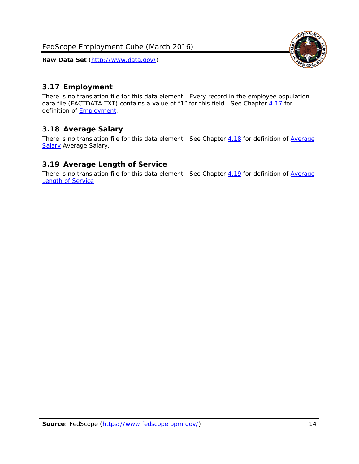<span id="page-14-0"></span>

There is no translation file for this data element. Every record in the employee population data file (FACTDATA.TXT) contains a value of "1" for this field. See Chapter [4.17](#page-16-8) for definition of **Employment**.

#### <span id="page-14-1"></span>*3.18 Average Salary*

There is no translation file for this data element. See Chapter [4.18](#page-17-1) for definition of [Average](#page-17-1) [Salary](#page-17-1) [Average Salary.](#page-17-1)

#### <span id="page-14-2"></span>*3.19 Average Length of Service*

There is no translation file for this data element. See Chapter [4.19](#page-17-2) for definition of [Average](#page-17-2) Length of Service

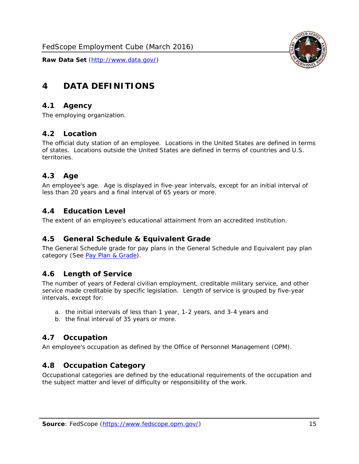

# <span id="page-15-0"></span>**4 DATA DEFINITIONS**

#### <span id="page-15-1"></span>*4.1 Agency*

The employing organization.

#### <span id="page-15-2"></span>*4.2 Location*

The official duty station of an employee. Locations in the United States are defined in terms of states. Locations outside the United States are defined in terms of countries and U.S. territories.

#### <span id="page-15-3"></span>*4.3 Age*

An employee's age. Age is displayed in five-year intervals, except for an initial interval of less than 20 years and a final interval of 65 years or more.

#### <span id="page-15-4"></span>*4.4 Education Level*

The extent of an employee's educational attainment from an accredited institution.

#### <span id="page-15-5"></span>*4.5 General Schedule & Equivalent Grade*

The General Schedule grade for pay plans in the General Schedule and Equivalent pay plan category (See [Pay Plan & Grade](#page-16-0)).

#### <span id="page-15-6"></span>*4.6 Length of Service*

The number of years of Federal civilian employment, creditable military service, and other service made creditable by specific legislation. Length of service is grouped by five-year intervals, except for:

- a. the initial intervals of less than 1 year, 1-2 years, and 3-4 years and
- b. the final interval of 35 years or more.

#### <span id="page-15-7"></span>*4.7 Occupation*

An employee's occupation as defined by the Office of Personnel Management (OPM).

#### <span id="page-15-8"></span>*4.8 Occupation Category*

Occupational categories are defined by the educational requirements of the occupation and the subject matter and level of difficulty or responsibility of the work.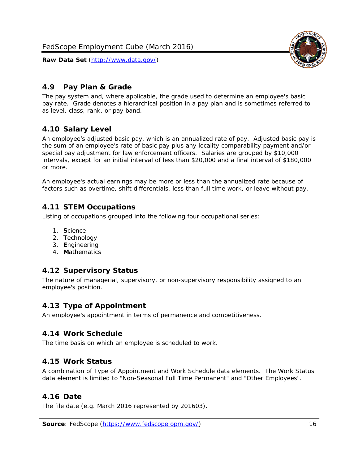

#### <span id="page-16-0"></span>*4.9 Pay Plan & Grade*

The pay system and, where applicable, the grade used to determine an employee's basic pay rate. Grade denotes a hierarchical position in a pay plan and is sometimes referred to as level, class, rank, or pay band.

## <span id="page-16-1"></span>*4.10 Salary Level*

An employee's adjusted basic pay, which is an annualized rate of pay. Adjusted basic pay is the sum of an employee's rate of basic pay plus any locality comparability payment and/or special pay adjustment for law enforcement officers. Salaries are grouped by \$10,000 intervals, except for an initial interval of less than \$20,000 and a final interval of \$180,000 or more.

An employee's actual earnings may be more or less than the annualized rate because of factors such as overtime, shift differentials, less than full time work, or leave without pay.

#### <span id="page-16-2"></span>*4.11 STEM Occupations*

Listing of occupations grouped into the following four occupational series:

- 1. **S**cience
- 2. **T**echnology
- 3. **E**ngineering
- 4. **M**athematics

#### <span id="page-16-3"></span>*4.12 Supervisory Status*

The nature of managerial, supervisory, or non-supervisory responsibility assigned to an employee's position.

#### <span id="page-16-4"></span>*4.13 Type of Appointment*

An employee's appointment in terms of permanence and competitiveness.

#### <span id="page-16-5"></span>*4.14 Work Schedule*

The time basis on which an employee is scheduled to work.

#### <span id="page-16-6"></span>*4.15 Work Status*

A combination of Type of Appointment and Work Schedule data elements. The Work Status data element is limited to "Non-Seasonal Full Time Permanent" and "Other Employees".

#### <span id="page-16-7"></span>*4.16 Date*

<span id="page-16-8"></span>The file date (e.g. March 2016 represented by 201603).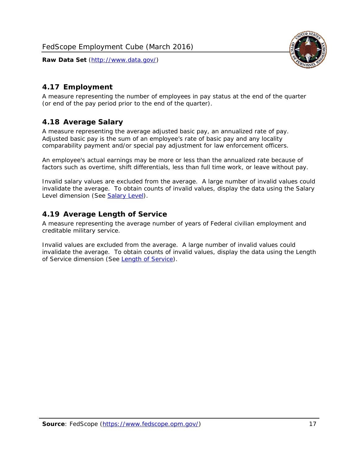

# <span id="page-17-0"></span>*4.17 Employment*

A measure representing the number of employees in pay status at the end of the quarter (or end of the pay period prior to the end of the quarter).

## <span id="page-17-1"></span>*4.18 Average Salary*

A measure representing the average adjusted basic pay, an annualized rate of pay. Adjusted basic pay is the sum of an employee's rate of basic pay and any locality comparability payment and/or special pay adjustment for law enforcement officers.

An employee's actual earnings may be more or less than the annualized rate because of factors such as overtime, shift differentials, less than full time work, or leave without pay.

Invalid salary values are excluded from the average. A large number of invalid values could invalidate the average. To obtain counts of invalid values, display the data using the Salary Level dimension (See [Salary Level\)](#page-16-1).

## <span id="page-17-2"></span>*4.19 Average Length of Service*

A measure representing the average number of years of Federal civilian employment and creditable military service.

Invalid values are excluded from the average. A large number of invalid values could invalidate the average. To obtain counts of invalid values, display the data using the Length of Service dimension (See [Length of Service](#page-15-6)).